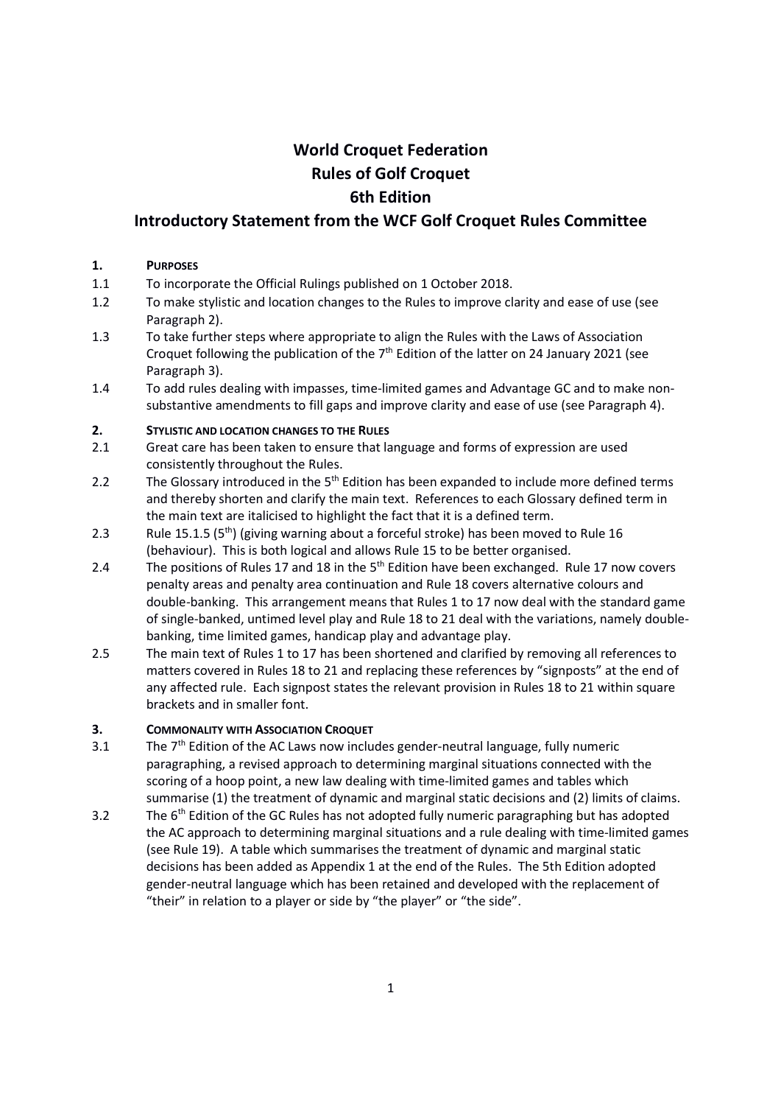# World Croquet Federation Rules of Golf Croquet 6th Edition

## Introductory Statement from the WCF Golf Croquet Rules Committee

#### 1. PURPOSES

- 1.1 To incorporate the Official Rulings published on 1 October 2018.
- 1.2 To make stylistic and location changes to the Rules to improve clarity and ease of use (see Paragraph 2).
- 1.3 To take further steps where appropriate to align the Rules with the Laws of Association Croquet following the publication of the  $7<sup>th</sup>$  Edition of the latter on 24 January 2021 (see Paragraph 3).
- 1.4 To add rules dealing with impasses, time-limited games and Advantage GC and to make nonsubstantive amendments to fill gaps and improve clarity and ease of use (see Paragraph 4).

## 2. STYLISTIC AND LOCATION CHANGES TO THE RULES

- 2.1 Great care has been taken to ensure that language and forms of expression are used consistently throughout the Rules.
- 2.2 The Glossary introduced in the  $5<sup>th</sup>$  Edition has been expanded to include more defined terms and thereby shorten and clarify the main text. References to each Glossary defined term in the main text are italicised to highlight the fact that it is a defined term.
- 2.3 Rule 15.1.5 (5<sup>th</sup>) (giving warning about a forceful stroke) has been moved to Rule 16 (behaviour). This is both logical and allows Rule 15 to be better organised.
- 2.4 The positions of Rules 17 and 18 in the 5<sup>th</sup> Edition have been exchanged. Rule 17 now covers penalty areas and penalty area continuation and Rule 18 covers alternative colours and double-banking. This arrangement means that Rules 1 to 17 now deal with the standard game of single-banked, untimed level play and Rule 18 to 21 deal with the variations, namely doublebanking, time limited games, handicap play and advantage play.
- 2.5 The main text of Rules 1 to 17 has been shortened and clarified by removing all references to matters covered in Rules 18 to 21 and replacing these references by "signposts" at the end of any affected rule. Each signpost states the relevant provision in Rules 18 to 21 within square brackets and in smaller font.

## 3. COMMONALITY WITH ASSOCIATION CROQUET

- 3.1 The  $7<sup>th</sup>$  Edition of the AC Laws now includes gender-neutral language, fully numeric paragraphing, a revised approach to determining marginal situations connected with the scoring of a hoop point, a new law dealing with time-limited games and tables which summarise (1) the treatment of dynamic and marginal static decisions and (2) limits of claims.
- 3.2 The  $6<sup>th</sup>$  Edition of the GC Rules has not adopted fully numeric paragraphing but has adopted the AC approach to determining marginal situations and a rule dealing with time-limited games (see Rule 19). A table which summarises the treatment of dynamic and marginal static decisions has been added as Appendix 1 at the end of the Rules. The 5th Edition adopted gender-neutral language which has been retained and developed with the replacement of "their" in relation to a player or side by "the player" or "the side".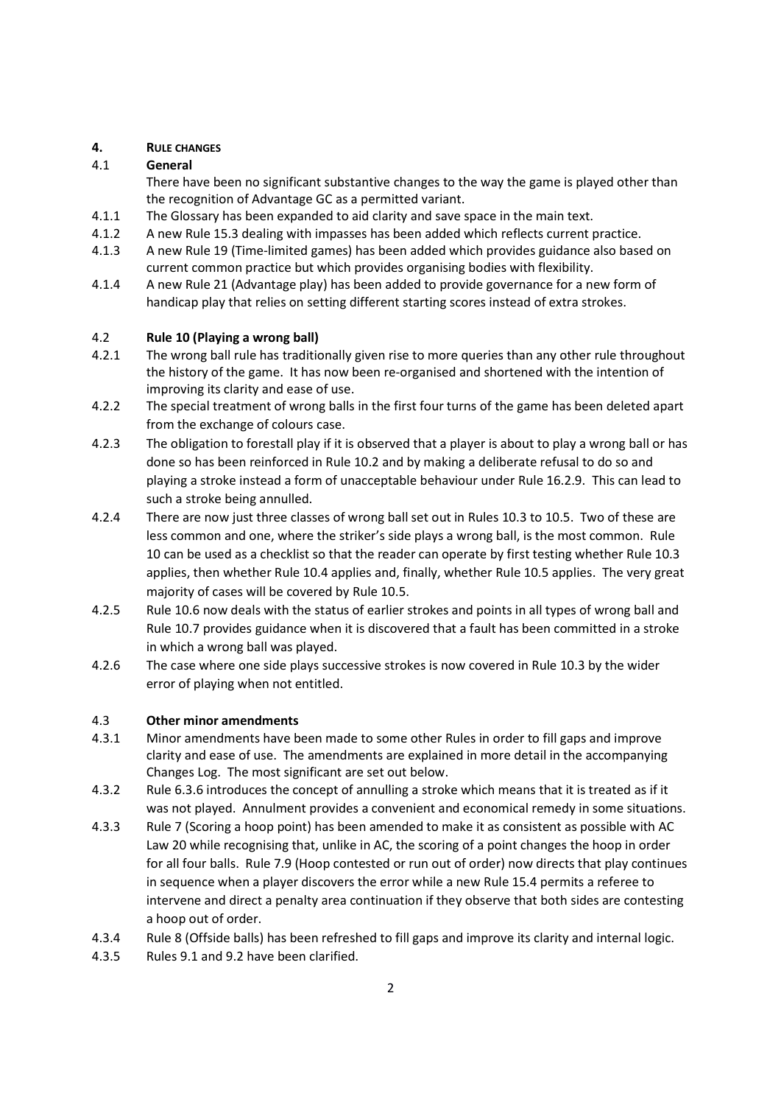## 4. RULE CHANGES

## 4.1 General

There have been no significant substantive changes to the way the game is played other than the recognition of Advantage GC as a permitted variant.

- 4.1.1 The Glossary has been expanded to aid clarity and save space in the main text.
- 4.1.2 A new Rule 15.3 dealing with impasses has been added which reflects current practice.
- 4.1.3 A new Rule 19 (Time-limited games) has been added which provides guidance also based on current common practice but which provides organising bodies with flexibility.
- 4.1.4 A new Rule 21 (Advantage play) has been added to provide governance for a new form of handicap play that relies on setting different starting scores instead of extra strokes.

## 4.2 Rule 10 (Playing a wrong ball)

- 4.2.1 The wrong ball rule has traditionally given rise to more queries than any other rule throughout the history of the game. It has now been re-organised and shortened with the intention of improving its clarity and ease of use.
- 4.2.2 The special treatment of wrong balls in the first four turns of the game has been deleted apart from the exchange of colours case.
- 4.2.3 The obligation to forestall play if it is observed that a player is about to play a wrong ball or has done so has been reinforced in Rule 10.2 and by making a deliberate refusal to do so and playing a stroke instead a form of unacceptable behaviour under Rule 16.2.9. This can lead to such a stroke being annulled.
- 4.2.4 There are now just three classes of wrong ball set out in Rules 10.3 to 10.5. Two of these are less common and one, where the striker's side plays a wrong ball, is the most common. Rule 10 can be used as a checklist so that the reader can operate by first testing whether Rule 10.3 applies, then whether Rule 10.4 applies and, finally, whether Rule 10.5 applies. The very great majority of cases will be covered by Rule 10.5.
- 4.2.5 Rule 10.6 now deals with the status of earlier strokes and points in all types of wrong ball and Rule 10.7 provides guidance when it is discovered that a fault has been committed in a stroke in which a wrong ball was played.
- 4.2.6 The case where one side plays successive strokes is now covered in Rule 10.3 by the wider error of playing when not entitled.

## 4.3 Other minor amendments

- 4.3.1 Minor amendments have been made to some other Rules in order to fill gaps and improve clarity and ease of use. The amendments are explained in more detail in the accompanying Changes Log. The most significant are set out below.
- 4.3.2 Rule 6.3.6 introduces the concept of annulling a stroke which means that it is treated as if it was not played. Annulment provides a convenient and economical remedy in some situations.
- 4.3.3 Rule 7 (Scoring a hoop point) has been amended to make it as consistent as possible with AC Law 20 while recognising that, unlike in AC, the scoring of a point changes the hoop in order for all four balls. Rule 7.9 (Hoop contested or run out of order) now directs that play continues in sequence when a player discovers the error while a new Rule 15.4 permits a referee to intervene and direct a penalty area continuation if they observe that both sides are contesting a hoop out of order.
- 4.3.4 Rule 8 (Offside balls) has been refreshed to fill gaps and improve its clarity and internal logic.
- 4.3.5 Rules 9.1 and 9.2 have been clarified.